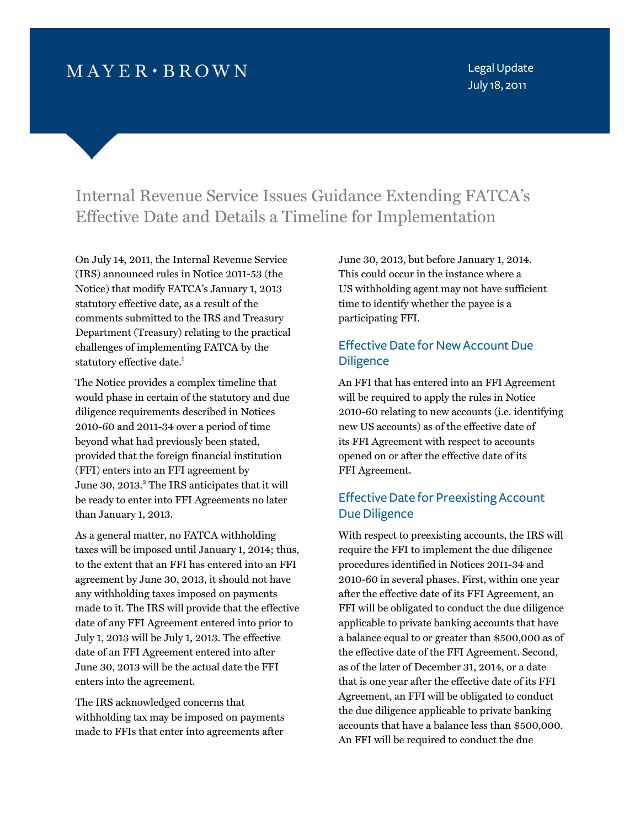# $MAYER \cdot BROWN$

Legal Update July 18, 2011

# Internal Revenue Service Issues Guidance Extending FATCA's Effective Date and Details a Timeline for Implementation

On July 14, 2011, the Internal Revenue Service (IRS) announced rules in Notice 2011-53 (the Notice) that modify FATCA's January 1, 2013 statutory effective date, as a result of the comments submitted to the IRS and Treasury Department (Treasury) relating to the practical challenges of implementing FATCA by the statutory effective date.<sup>1</sup>

The Notice provides a complex timeline that would phase in certain of the statutory and due diligence requirements described in Notices 2010-60 and 2011-34 over a period of time beyond what had previously been stated, provided that the foreign financial institution (FFI) enter[s into an](#page-2-0) FFI agreement by June 30, 2013.<sup>2</sup> The IRS anticipates that it will be ready to enter into FFI Agreements no later than January 1, 2013.

As a general matter, no FATCA withholding taxes will be imposed until January 1, 2014; thus, to the extent that an FFI has entered into an FFI agreement by June 30, 2013, it should not have any withholding taxes imposed on payments made to it. The IRS will provide that the effective date of any FFI Agreement entered into prior to July 1, 2013 will be July 1, 2013. The effective date of an FFI Agreement entered into after June 30, 2013 will be the actual date the FFI enters into the agreement.

The IRS acknowledged concerns that withholding tax may be imposed on payments made to FFIs that enter into agreements after June 30, 2013, but before January 1, 2014. This could occur in the instance where a US withholding agent may not have sufficient time to identify whether the payee is a participating FFI.

### Effective Date for New Account Due **Diligence**

An FFI that has entered into an FFI Agreement will be required to apply the rules in Notice 2010-60 relating to new accounts (i.e. identifying new US accounts) as of the effective date of its FFI Agreement with respect to accounts opened on or after the effective date of its FFI Agreement.

### Effective Date for Preexisting Account Due Diligence

With respect to preexisting accounts, the IRS will require the FFI to implement the due diligence procedures identified in Notices 2011-34 and 2010-60 in several phases. First, within one year after the effective date of its FFI Agreement, an FFI will be obligated to conduct the due diligence applicable to private banking accounts that have a balance equal to or greater than \$500,000 as of the effective date of the FFI Agreement. Second, as of the later of December 31, 2014, or a date that is one year after the effective date of its FFI Agreement, an FFI will be obligated to conduct the due diligence applicable to private banking accounts that have a balance less than \$500,000. An FFI will be required to conduct the due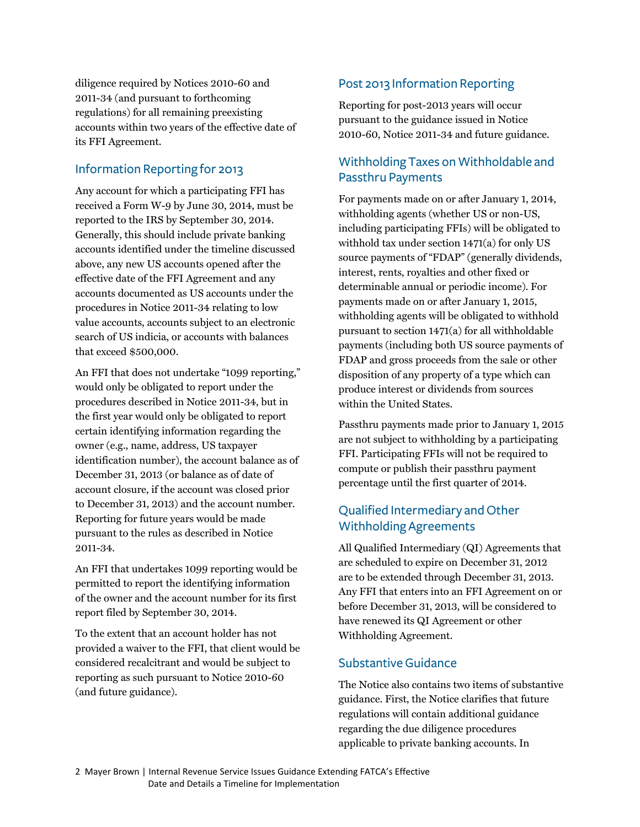diligence required by Notices 2010-60 and 2011-34 (and pursuant to forthcoming regulations) for all remaining preexisting accounts within two years of the effective date of its FFI Agreement.

### Information Reporting for 2013

Any account for which a participating FFI has received a Form W-9 by June 30, 2014, must be reported to the IRS by September 30, 2014. Generally, this should include private banking accounts identified under the timeline discussed above, any new US accounts opened after the effective date of the FFI Agreement and any accounts documented as US accounts under the procedures in Notice 2011-34 relating to low value accounts, accounts subject to an electronic search of US indicia, or accounts with balances that exceed \$500,000.

An FFI that does not undertake "1099 reporting," would only be obligated to report under the procedures described in Notice 2011-34, but in the first year would only be obligated to report certain identifying information regarding the owner (e.g., name, address, US taxpayer identification number), the account balance as of December 31, 2013 (or balance as of date of account closure, if the account was closed prior to December 31, 2013) and the account number. Reporting for future years would be made pursuant to the rules as described in Notice 2011-34.

An FFI that undertakes 1099 reporting would be permitted to report the identifying information of the owner and the account number for its first report filed by September 30, 2014.

To the extent that an account holder has not provided a waiver to the FFI, that client would be considered recalcitrant and would be subject to reporting as such pursuant to Notice 2010-60 (and future guidance).

# Post 2013 Information Reporting

Reporting for post-2013 years will occur pursuant to the guidance issued in Notice 2010-60, Notice 2011-34 and future guidance.

## Withholding Taxes on Withholdable and Passthru Payments

For payments made on or after January 1, 2014, withholding agents (whether US or non-US, including participating FFIs) will be obligated to withhold tax under section 1471(a) for only US source payments of "FDAP" (generally dividends, interest, rents, royalties and other fixed or determinable annual or periodic income). For payments made on or after January 1, 2015, withholding agents will be obligated to withhold pursuant to section 1471(a) for all withholdable payments (including both US source payments of FDAP and gross proceeds from the sale or other disposition of any property of a type which can produce interest or dividends from sources within the United States.

Passthru payments made prior to January 1, 2015 are not subject to withholding by a participating FFI. Participating FFIs will not be required to compute or publish their passthru payment percentage until the first quarter of 2014.

# Qualified Intermediary and Other Withholding Agreements

All Qualified Intermediary (QI) Agreements that are scheduled to expire on December 31, 2012 are to be extended through December 31, 2013. Any FFI that enters into an FFI Agreement on or before December 31, 2013, will be considered to have renewed its QI Agreement or other Withholding Agreement.

### Substantive Guidance

The Notice also contains two items of substantive guidance. First, the Notice clarifies that future regulations will contain additional guidance regarding the due diligence procedures applicable to private banking accounts. In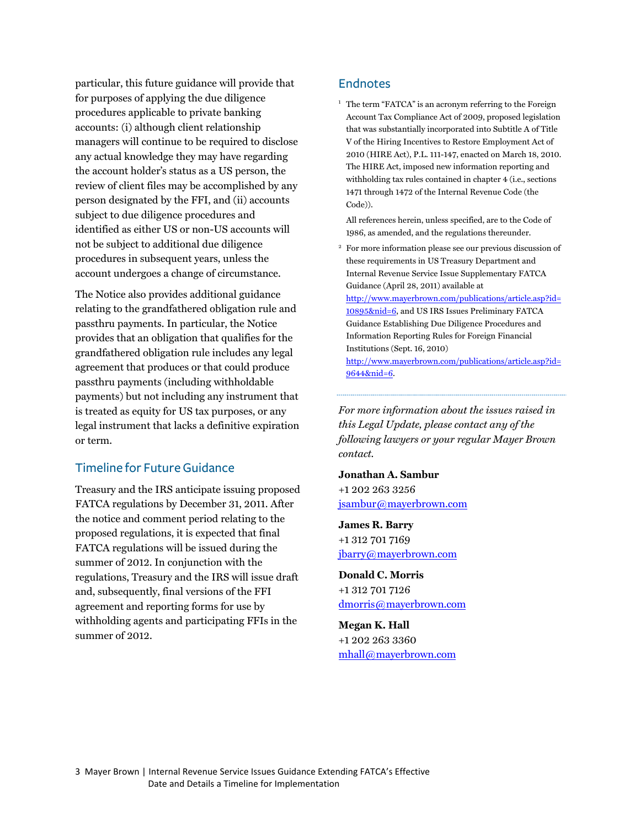<span id="page-2-0"></span>particular, this future guidance will provide that for purposes of applying the due diligence procedures applicable to private banking accounts: (i) although client relationship managers will continue to be required to disclose any actual knowledge they may have regarding the account holder's status as a US person, the review of client files may be accomplished by any person designated by the FFI, and (ii) accounts subject to due diligence procedures and identified as either US or non-US accounts will not be subject to additional due diligence procedures in subsequent years, unless the account undergoes a change of circumstance.

The Notice also provides additional guidance relating to the grandfathered obligation rule and passthru payments. In particular, the Notice provides that an obligation that qualifies for the grandfathered obligation rule includes any legal agreement that produces or that could produce passthru payments (including withholdable payments) but not including any instrument that is treated as equity for US tax purposes, or any legal instrument that lacks a definitive expiration or term.

#### Timeline for Future Guidance

Treasury and the IRS anticipate issuing proposed FATCA regulations by December 31, 2011. After the notice and comment period relating to the proposed regulations, it is expected that final FATCA regulations will be issued during the summer of 2012. In conjunction with the regulations, Treasury and the IRS will issue draft and, subsequently, final versions of the FFI agreement and reporting forms for use by withholding agents and participating FFIs in the summer of 2012.

#### **Endnotes**

<sup>1</sup> The term "FATCA" is an acronym referring to the Foreign Account Tax Compliance Act of 2009, proposed legislation that was substantially incorporated into Subtitle A of Title V of the Hiring Incentives to Restore Employment Act of 2010 (HIRE Act), P.L. 111-147, enacted on March 18, 2010. The HIRE Act, imposed new information reporting and withholding tax rules contained in chapter 4 (i.e., sections 1471 through 1472 of the Internal Revenue Code (the Code)).

 All references herein, unless specified, are to the Code of 1986, as amended, and the regulations thereunder.

2 For more information please see our previous discussion of these requirements in US Treasury Department and Internal Revenue Service Issue Supplementary FATCA Guidance (April 28, 2011) available at [http://www.mayerbrown.com/publications/article.asp?id=](http://www.mayerbrown.com/publications/article.asp?id=10895&nid=6) 10895&nid=6, and US IRS Issues Preliminary FATCA Guidance Establishing Due Diligence Procedures and Information Reporting Rules for Foreign Financial Institutions (Sept. 16, 2010)

[http://www.mayerbrown.com/publications/article.asp?id=](http://www.mayerbrown.com/publications/article.asp?id=9644&nid=6) 9644&nid=6.

*For more information about the issues raised in this Legal Update, please contact any of the following lawyers or your regular Mayer Brown contact.* 

**Jonathan A. Sambur** +1 202 263 3256 jsambur@mayerbrown.com

**James R. Barry** +1 312 701 7169 jbarry@mayerbrown.com

**Donald C. Morris** +1 312 701 7126 dmorris@mayerbrown.com

**Megan K. Hall** +1 202 263 3360 mhall@mayerbrown.com